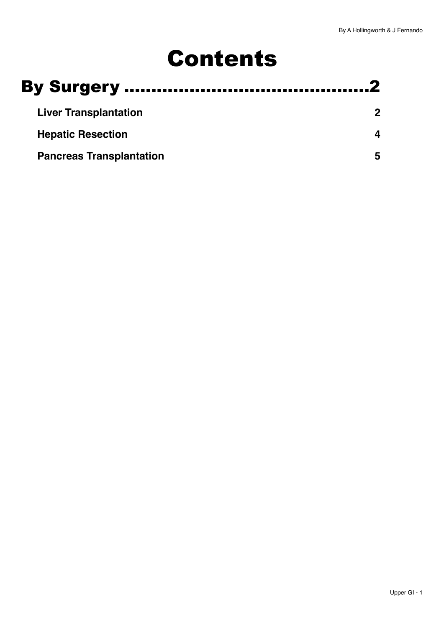# Contents

| <b>Liver Transplantation</b>    |  |
|---------------------------------|--|
| <b>Hepatic Resection</b>        |  |
| <b>Pancreas Transplantation</b> |  |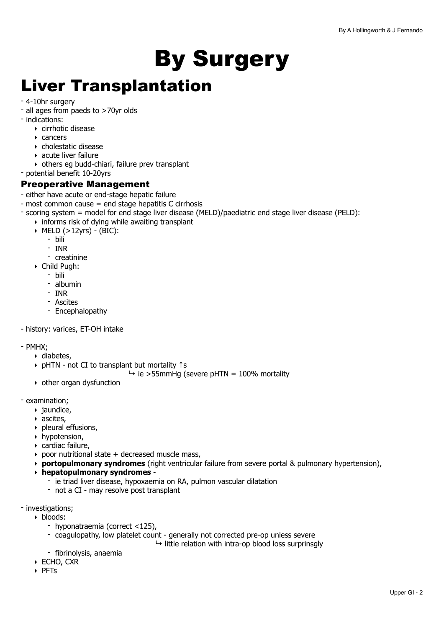# <span id="page-1-0"></span>By Surgery

# <span id="page-1-1"></span>Liver Transplantation

- 4-10hr surgery
- all ages from paeds to >70yr olds
- indications:
	- ‣ cirrhotic disease
	- ‣ cancers
	- ‣ cholestatic disease
	- ‣ acute liver failure
	- ‣ others eg budd-chiari, failure prev transplant
- potential benefit 10-20yrs

## Preoperative Management

- either have acute or end-stage hepatic failure
- most common cause = end stage hepatitis C cirrhosis
- scoring system = model for end stage liver disease (MELD)/paediatric end stage liver disease (PELD):
	- $\rightarrow$  informs risk of dving while awaiting transplant
		- ‣ MELD (>12yrs) (BIC):
			- bili
			- INR
			- creatinine
		- ‣ Child Pugh:
			- bili
			- albumin
			- INR
			- Ascites
			- Encephalopathy

- history: varices, ET-OH intake

- PMHX;
	- ‣ diabetes,
	- ‣ pHTN not CI to transplant but mortality ↑s
		- $\rightarrow$  ie >55mmHg (severe pHTN = 100% mortality
	- ‣ other organ dysfunction
- examination;
	- ‣ jaundice,
	- ‣ ascites,
	- ‣ pleural effusions,
	- ‣ hypotension,
	- ‣ cardiac failure,
	- $\rightarrow$  poor nutritional state  $+$  decreased muscle mass,
	- ‣ **portopulmonary syndromes** (right ventricular failure from severe portal & pulmonary hypertension),
	- ‣ **hepatopulmonary syndromes** 
		- ie triad liver disease, hypoxaemia on RA, pulmon vascular dilatation
		- not a CI may resolve post transplant
- investigations;
	- ‣ bloods:
		- hyponatraemia (correct <125),
		- coagulopathy, low platelet count generally not corrected pre-op unless severe
			- $\mapsto$  little relation with intra-op blood loss surprinsgly
		- fibrinolysis, anaemia
	- ‣ ECHO, CXR
	- ‣ PFTs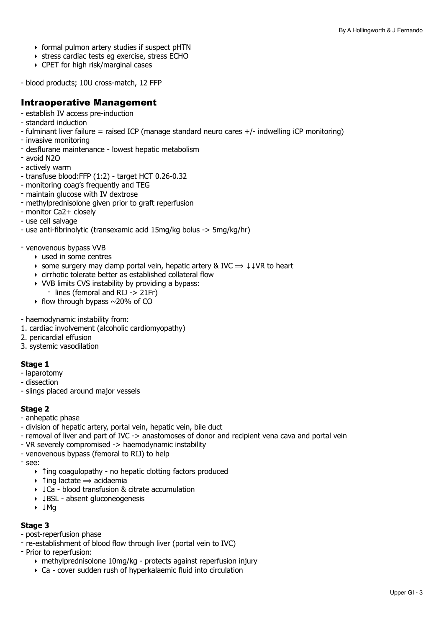- ‣ formal pulmon artery studies if suspect pHTN
- ‣ stress cardiac tests eg exercise, stress ECHO
- ‣ CPET for high risk/marginal cases
- blood products; 10U cross-match, 12 FFP

### Intraoperative Management

- establish IV access pre-induction
- standard induction
- $-$  fulminant liver failure = raised ICP (manage standard neuro cares  $+/-$  indwelling iCP monitoring)
- invasive monitoring
- desflurane maintenance lowest hepatic metabolism
- avoid N2O
- actively warm
- transfuse blood:FFP (1:2) target HCT 0.26-0.32
- monitoring coag's frequently and TEG
- maintain glucose with IV dextrose
- methylprednisolone given prior to graft reperfusion
- monitor Ca2+ closely
- use cell salvage
- use anti-fibrinolytic (transexamic acid 15mg/kg bolus -> 5mg/kg/hr)
- venovenous bypass VVB
	- ‣ used in some centres
	- $\rightarrow$  some surgery may clamp portal vein, hepatic artery & IVC  $\Rightarrow$  ↓↓VR to heart
	- ‣ cirrhotic tolerate better as established collateral flow
	- ‣ VVB limits CVS instability by providing a bypass:
		- lines (femoral and RIJ -> 21Fr)
	- $\rightarrow$  flow through bypass  $\sim$  20% of CO
- haemodynamic instability from:
- 1. cardiac involvement (alcoholic cardiomyopathy)
- 2. pericardial effusion
- 3. systemic vasodilation

#### **Stage 1**

- laparotomy
- dissection
- slings placed around major vessels

#### **Stage 2**

- anhepatic phase
- division of hepatic artery, portal vein, hepatic vein, bile duct
- removal of liver and part of IVC -> anastomoses of donor and recipient vena cava and portal vein
- VR severely compromised -> haemodynamic instability
- venovenous bypass (femoral to RIJ) to help
- see:
	- ‣ ↑ing coagulopathy no hepatic clotting factors produced
	- $\rightarrow$  1 ing lactate  $\rightarrow$  acidaemia
	- ‣ ↓Ca blood transfusion & citrate accumulation
	- ‣ ↓BSL absent gluconeogenesis
	- ‣ ↓Mg

#### **Stage 3**

- post-reperfusion phase
- re-establishment of blood flow through liver (portal vein to IVC)
- Prior to reperfusion:
	- ‣ methylprednisolone 10mg/kg protects against reperfusion injury
	- ‣ Ca cover sudden rush of hyperkalaemic fluid into circulation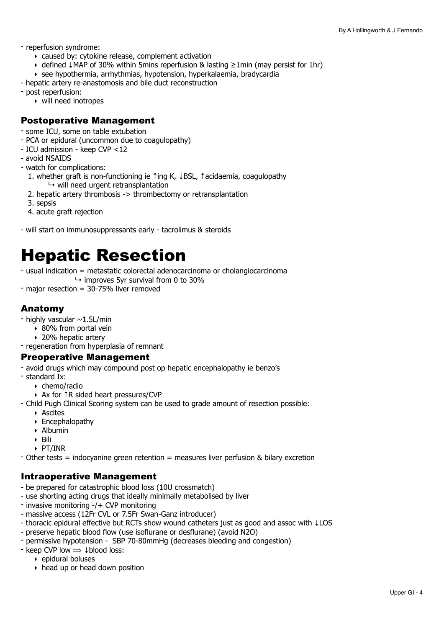- reperfusion syndrome:
	- ‣ caused by: cytokine release, complement activation
	- ‣ defined ↓MAP of 30% within 5mins reperfusion & lasting ≥1min (may persist for 1hr)
	- ‣ see hypothermia, arrhythmias, hypotension, hyperkalaemia, bradycardia
- hepatic artery re-anastomosis and bile duct reconstruction
- post reperfusion:
	- ‣ will need inotropes

### Postoperative Management

- some ICU, some on table extubation
- PCA or epidural (uncommon due to coagulopathy)
- ICU admission keep CVP <12
- avoid NSAIDS
- watch for complications:
- 1. whether graft is non-functioning ie ↑ing K, ↓BSL, ↑acidaemia, coagulopathy  $\mapsto$  will need urgent retransplantation
- 2. hepatic artery thrombosis -> thrombectomy or retransplantation
- 3. sepsis
- 4. acute graft rejection
- will start on immunosuppressants early tacrolimus & steroids

# <span id="page-3-0"></span>Hepatic Resection

- usual indication = metastatic colorectal adenocarcinoma or cholangiocarcinoma
	- $\rightarrow$  improves 5yr survival from 0 to 30%
- major resection = 30-75% liver removed

# Anatomy

- highly vascular  $\sim$  1.5L/min
	- ‣ 80% from portal vein
	- ‣ 20% hepatic artery
- regeneration from hyperplasia of remnant

#### Preoperative Management

- avoid drugs which may compound post op hepatic encephalopathy ie benzo's
- standard Ix:
	- ‣ chemo/radio
	- ‣ Ax for ↑R sided heart pressures/CVP
- Child Pugh Clinical Scoring system can be used to grade amount of resection possible:
	- ‣ Ascites
	- ‣ Encephalopathy
	- ‣ Albumin
	- ‣ Bili
	- ‣ PT/INR
- Other tests = indocyanine green retention = measures liver perfusion & bilary excretion

## Intraoperative Management

- be prepared for catastrophic blood loss (10U crossmatch)
- use shorting acting drugs that ideally minimally metabolised by liver
- invasive monitoring -/+ CVP monitoring
- massive access (12Fr CVL or 7.5Fr Swan-Ganz introducer)
- thoracic epidural effective but RCTs show wound catheters just as good and assoc with ↓LOS
- preserve hepatic blood flow (use isoflurane or desflurane) (avoid N2O)
- permissive hypotension SBP 70-80mmHg (decreases bleeding and congestion)
- $-$  keep CVP low  $\Rightarrow$   $\downarrow$  blood loss:
	- ‣ epidural boluses
	- ‣ head up or head down position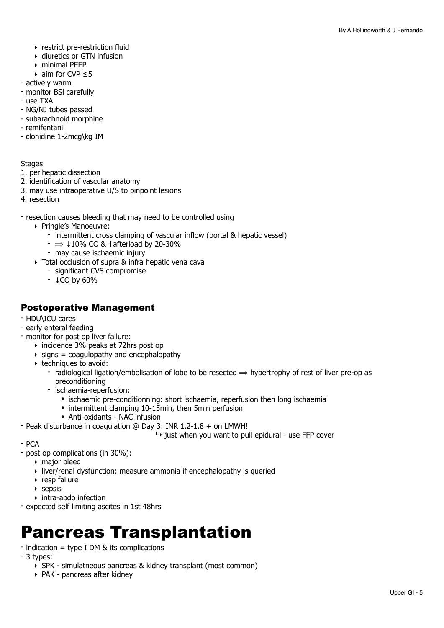- ‣ restrict pre-restriction fluid
- ‣ diuretics or GTN infusion
- ‣ minimal PEEP
- $\rightarrow$  aim for CVP  $\leq$ 5
- actively warm
- monitor BSl carefully
- use TXA
- NG/NJ tubes passed
- subarachnoid morphine
- remifentanil
- clonidine 1-2mcg\kg IM

#### **Stages**

- 1. perihepatic dissection
- 2. identification of vascular anatomy
- 3. may use intraoperative U/S to pinpoint lesions
- 4. resection

- resection causes bleeding that may need to be controlled using

- ‣ Pringle's Manoeuvre:
	- intermittent cross clamping of vascular inflow (portal & hepatic vessel)
	- $\Rightarrow$   $\downarrow$  10% CO & † afterload by 20-30%
	- may cause ischaemic injury
- ‣ Total occlusion of supra & infra hepatic vena cava
	- significant CVS compromise
	- ↓CO by 60%

# Postoperative Management

- HDU\ICU cares
- early enteral feeding
- monitor for post op liver failure:
	- ‣ incidence 3% peaks at 72hrs post op
	- $\rightarrow$  signs = coagulopathy and encephalopathy
	- ‣ techniques to avoid:
		- radiological ligation/embolisation of lobe to be resected  $\Rightarrow$  hypertrophy of rest of liver pre-op as preconditioning
		- ischaemia-reperfusion:
			- ischaemic pre-conditionning: short ischaemia, reperfusion then long ischaemia
			- intermittent clamping 10-15min, then 5min perfusion
			- Anti-oxidants NAC infusion
- Peak disturbance in coagulation @ Day 3: INR 1.2-1.8 + on LMWH!

 $\rightarrow$  just when you want to pull epidural - use FFP cover

- PCA
- post op complications (in 30%):
	- ‣ major bleed
	- ‣ liver/renal dysfunction: measure ammonia if encephalopathy is queried
	- ‣ resp failure
	- $\triangleright$  sepsis
	- ‣ intra-abdo infection
- expected self limiting ascites in 1st 48hrs

# <span id="page-4-0"></span>Pancreas Transplantation

- indication = type I DM & its complications
- 3 types:
	- ‣ SPK simulatneous pancreas & kidney transplant (most common)
	- ‣ PAK pancreas after kidney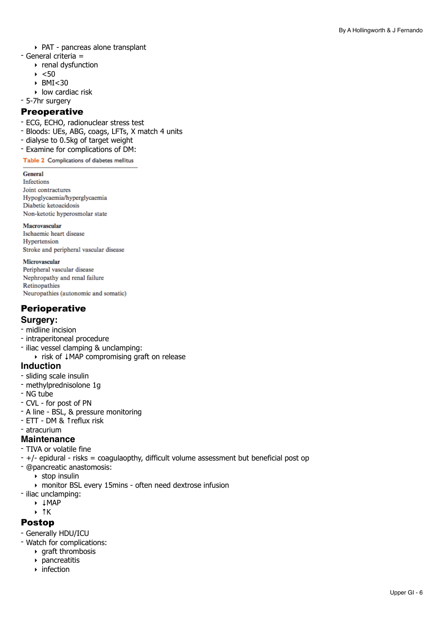- ‣ PAT pancreas alone transplant
- General criteria =
	- ‣ renal dysfunction
	- $\blacktriangleright$  <50
	- $\triangleright$  BMI $<30$
	- ‣ low cardiac risk
- 5-7hr surgery

#### **Preoperative**

- ECG, ECHO, radionuclear stress test
- Bloods: UEs, ABG, coags, LFTs, X match 4 units
- dialyse to 0.5kg of target weight
- Examine for complications of DM:

Table 2 Complications of diabetes mellitus

#### **General**

**Infections** Joint contractures Hypoglycaemia/hyperglycaemia Diabetic ketoacidosis Non-ketotic hyperosmolar state

#### Macrovascular

Ischaemic heart disease Hypertension Stroke and peripheral vascular disease

#### Microvascular

Peripheral vascular disease Nephropathy and renal failure Retinopathies Neuropathies (autonomic and somatic)

# **Perioperative**

#### **Surgery:**

- midline incision
- intraperitoneal procedure
- iliac vessel clamping & unclamping: ‣ risk of ↓MAP compromising graft on release

#### **Induction**

- sliding scale insulin
- methylprednisolone 1g
- NG tube
- CVL for post of PN
- A line BSL, & pressure monitoring
- ETT DM & ↑reflux risk
- atracurium

#### **Maintenance**

- TIVA or volatile fine
- +/- epidural risks = coagulaopthy, difficult volume assessment but beneficial post op
- @pancreatic anastomosis:
	- ‣ stop insulin
	- ‣ monitor BSL every 15mins often need dextrose infusion
- iliac unclamping:
	- ‣ ↓MAP
	- ‣ ↑K

# Postop

- Generally HDU/ICU
- Watch for complications:
	- ‣ graft thrombosis
	- ‣ pancreatitis
	- ‣ infection